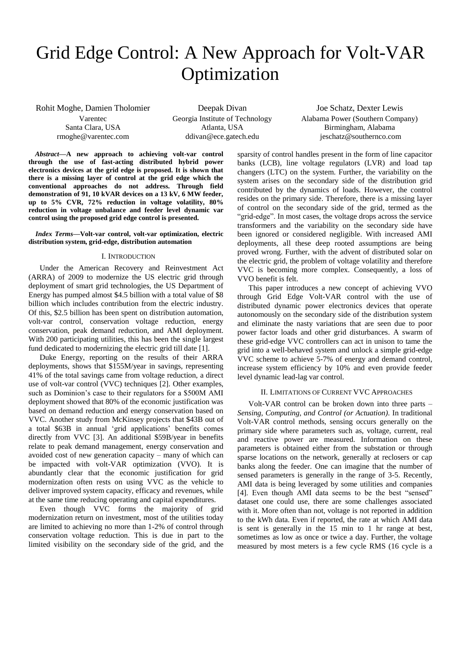## Grid Edge Control: A New Approach for Volt-VAR Optimization

Rohit Moghe, Damien Tholomier Deepak Divan Joe Schatz, Dexter Lewis Varentec Santa Clara, USA rmoghe@varentec.com

Georgia Institute of Technology Atlanta, USA ddivan@ece.gatech.edu

Alabama Power (Southern Company) Birmingham, Alabama jeschatz@southernco.com

*Abstract***—A new approach to achieving volt-var control through the use of fast-acting distributed hybrid power electronics devices at the grid edge is proposed. It is shown that there is a missing layer of control at the grid edge which the conventional approaches do not address. Through field demonstration of 91, 10 kVAR devices on a 13 kV, 6 MW feeder, up to 5% CVR, 72% reduction in voltage volatility, 80% reduction in voltage unbalance and feeder level dynamic var control using the proposed grid edge control is presented.** 

## *Index Terms***—Volt-var control, volt-var optimization, electric distribution system, grid-edge, distribution automation**

## I. INTRODUCTION

Under the American Recovery and Reinvestment Act (ARRA) of 2009 to modernize the US electric grid through deployment of smart grid technologies, the US Department of Energy has pumped almost \$4.5 billion with a total value of \$8 billion which includes contribution from the electric industry. Of this, \$2.5 billion has been spent on distribution automation, volt-var control, conservation voltage reduction, energy conservation, peak demand reduction, and AMI deployment. With 200 participating utilities, this has been the single largest fund dedicated to modernizing the electric grid till date [\[1\].](#page-4-0) 

Duke Energy, reporting on the results of their ARRA deployments, shows that \$155M/year in savings, representing 41% of the total savings came from voltage reduction, a direct use of volt-var control (VVC) techniques [\[2\].](#page-4-1) Other examples, such as Dominion's case to their regulators for a \$500M AMI deployment showed that 80% of the economic justification was based on demand reduction and energy conservation based on VVC. Another study from McKinsey projects that \$43B out of a total \$63B in annual 'grid applications' benefits comes directly from VVC [\[3\].](#page-4-2) An additional \$59B/year in benefits relate to peak demand management, energy conservation and avoided cost of new generation capacity – many of which can be impacted with volt-VAR optimization (VVO). It is abundantly clear that the economic justification for grid modernization often rests on using VVC as the vehicle to deliver improved system capacity, efficacy and revenues, while at the same time reducing operating and capital expenditures.

Even though VVC forms the majority of grid modernization return on investment, most of the utilities today are limited to achieving no more than 1-2% of control through conservation voltage reduction. This is due in part to the limited visibility on the secondary side of the grid, and the

sparsity of control handles present in the form of line capacitor banks (LCB), line voltage regulators (LVR) and load tap changers (LTC) on the system. Further, the variability on the system arises on the secondary side of the distribution grid contributed by the dynamics of loads. However, the control resides on the primary side. Therefore, there is a missing layer of control on the secondary side of the grid, termed as the "grid-edge". In most cases, the voltage drops across the service transformers and the variability on the secondary side have been ignored or considered negligible. With increased AMI deployments, all these deep rooted assumptions are being proved wrong. Further, with the advent of distributed solar on the electric grid, the problem of voltage volatility and therefore VVC is becoming more complex. Consequently, a loss of VVO benefit is felt.

This paper introduces a new concept of achieving VVO through Grid Edge Volt-VAR control with the use of distributed dynamic power electronics devices that operate autonomously on the secondary side of the distribution system and eliminate the nasty variations that are seen due to poor power factor loads and other grid disturbances. A swarm of these grid-edge VVC controllers can act in unison to tame the grid into a well-behaved system and unlock a simple grid-edge VVC scheme to achieve 5-7% of energy and demand control, increase system efficiency by 10% and even provide feeder level dynamic lead-lag var control.

## II. LIMITATIONS OF CURRENT VVC APPROACHES

Volt-VAR control can be broken down into three parts – *Sensing, Computing, and Control (or Actuation)*. In traditional Volt-VAR control methods, sensing occurs generally on the primary side where parameters such as, voltage, current, real and reactive power are measured. Information on these parameters is obtained either from the substation or through sparse locations on the network, generally at reclosers or cap banks along the feeder. One can imagine that the number of sensed parameters is generally in the range of 3-5. Recently, AMI data is being leveraged by some utilities and companies [\[4\].](#page-4-3) Even though AMI data seems to be the best "sensed" dataset one could use, there are some challenges associated with it. More often than not, voltage is not reported in addition to the kWh data. Even if reported, the rate at which AMI data is sent is generally in the 15 min to 1 hr range at best, sometimes as low as once or twice a day. Further, the voltage measured by most meters is a few cycle RMS (16 cycle is a